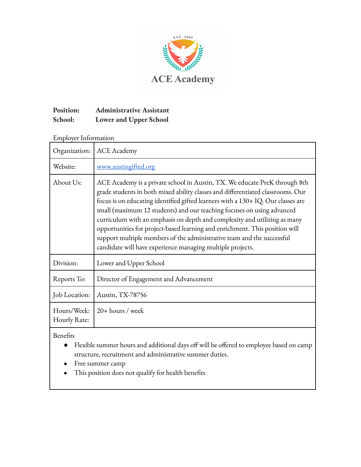

## **Position: Administrative Assistant School: Lower and Upper School**

### Employer Information

| Organization:               | <b>ACE</b> Academy                                                                                                                                                                                                                                                                                                                                                                                                                                                                                                                                                                                                              |
|-----------------------------|---------------------------------------------------------------------------------------------------------------------------------------------------------------------------------------------------------------------------------------------------------------------------------------------------------------------------------------------------------------------------------------------------------------------------------------------------------------------------------------------------------------------------------------------------------------------------------------------------------------------------------|
| Website:                    | www.austingifted.org                                                                                                                                                                                                                                                                                                                                                                                                                                                                                                                                                                                                            |
| About Us:                   | ACE Academy is a private school in Austin, TX. We educate PreK through 8th<br>grade students in both mixed ability classes and differentiated classrooms. Our<br>focus is on educating identified gifted learners with a 130+ IQ. Our classes are<br>small (maximum 12 students) and our teaching focuses on using advanced<br>curriculum with an emphasis on depth and complexity and utilizing as many<br>opportunities for project-based learning and enrichment. This position will<br>support multiple members of the administrative team and the successful<br>candidate will have experience managing multiple projects. |
| Division:                   | Lower and Upper School                                                                                                                                                                                                                                                                                                                                                                                                                                                                                                                                                                                                          |
| Reports To:                 | Director of Engagement and Advancement                                                                                                                                                                                                                                                                                                                                                                                                                                                                                                                                                                                          |
| Job Location:               | Austin, TX-78756                                                                                                                                                                                                                                                                                                                                                                                                                                                                                                                                                                                                                |
| Hours/Week:<br>Hourly Rate: | $20 + hours / week$                                                                                                                                                                                                                                                                                                                                                                                                                                                                                                                                                                                                             |

Benefits

- Flexible summer hours and additional days off will be offered to employee based on camp structure, recruitment and administrative summer duties.
- Free summer camp
- This position does not qualify for health benefits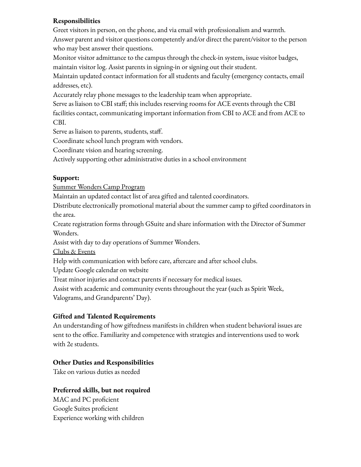### **Responsibilities**

Greet visitors in person, on the phone, and via email with professionalism and warmth. Answer parent and visitor questions competently and/or direct the parent/visitor to the person who may best answer their questions.

Monitor visitor admittance to the campus through the check-in system, issue visitor badges, maintain visitor log. Assist parents in signing-in or signing out their student.

Maintain updated contact information for all students and faculty (emergency contacts, email addresses, etc).

Accurately relay phone messages to the leadership team when appropriate.

Serve as liaison to CBI staff; this includes reserving rooms for ACE events through the CBI facilities contact, communicating important information from CBI to ACE and from ACE to CBI.

Serve as liaison to parents, students, staff.

Coordinate school lunch program with vendors.

Coordinate vision and hearing screening.

Actively supporting other administrative duties in a school environment

#### **Support:**

Summer Wonders Camp Program

Maintain an updated contact list of area gifted and talented coordinators.

Distribute electronically promotional material about the summer camp to gifted coordinators in the area.

Create registration forms through GSuite and share information with the Director of Summer Wonders.

Assist with day to day operations of Summer Wonders.

Clubs & Events

Help with communication with before care, aftercare and after school clubs.

Update Google calendar on website

Treat minor injuries and contact parents if necessary for medical issues.

Assist with academic and community events throughout the year (such as Spirit Week,

Valograms, and Grandparents' Day).

# **Gifted and Talented Requirements**

An understanding of how giftedness manifests in children when student behavioral issues are sent to the office. Familiarity and competence with strategies and interventions used to work with 2e students.

# **Other Duties and Responsibilities**

Take on various duties as needed

# **Preferred skills, but not required**

MAC and PC proficient Google Suites proficient Experience working with children